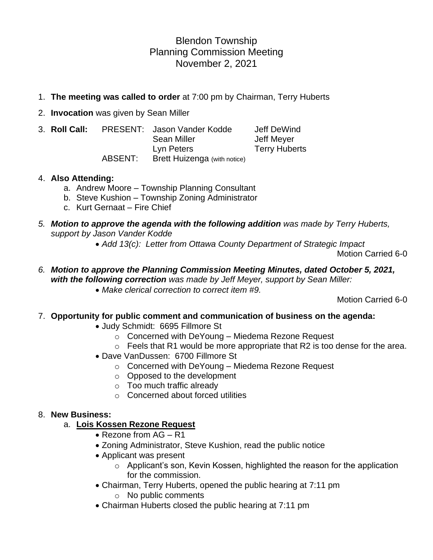# Blendon Township Planning Commission Meeting November 2, 2021

- 1. **The meeting was called to order** at 7:00 pm by Chairman, Terry Huberts
- 2. **Invocation** was given by Sean Miller
- 3. **Roll Call:** PRESENT: Jason Vander Kodde Jeff DeWind Sean Miller **Jeff Meyer** Lyn Peters Terry Huberts ABSENT: Brett Huizenga (with notice)

## 4. **Also Attending:**

- a. Andrew Moore Township Planning Consultant
- b. Steve Kushion Township Zoning Administrator
- c. Kurt Gernaat Fire Chief
- *5. Motion to approve the agenda with the following addition was made by Terry Huberts, support by Jason Vander Kodde*
	- *Add 13(c): Letter from Ottawa County Department of Strategic Impact*

Motion Carried 6-0

*6. Motion to approve the Planning Commission Meeting Minutes, dated October 5, 2021, with the following correction was made by Jeff Meyer, support by Sean Miller:* • *Make clerical correction to correct item #9.*

Motion Carried 6-0

7. **Opportunity for public comment and communication of business on the agenda:**

- Judy Schmidt: 6695 Fillmore St
	- o Concerned with DeYoung Miedema Rezone Request
	- $\circ$  Feels that R1 would be more appropriate that R2 is too dense for the area.
- Dave VanDussen: 6700 Fillmore St
	- o Concerned with DeYoung Miedema Rezone Request
	- o Opposed to the development
	- o Too much traffic already
	- o Concerned about forced utilities

## 8. **New Business:**

# a. **Lois Kossen Rezone Request**

- Rezone from AG R1
- Zoning Administrator, Steve Kushion, read the public notice
- Applicant was present
	- o Applicant's son, Kevin Kossen, highlighted the reason for the application for the commission.
- Chairman, Terry Huberts, opened the public hearing at 7:11 pm
	- o No public comments
- Chairman Huberts closed the public hearing at 7:11 pm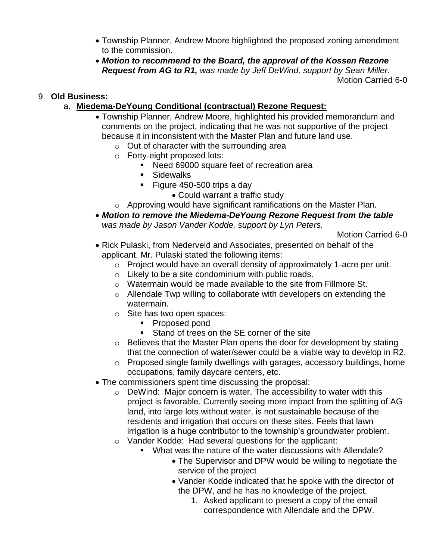- Township Planner, Andrew Moore highlighted the proposed zoning amendment to the commission.
- *Motion to recommend to the Board, the approval of the Kossen Rezone Request from AG to R1, was made by Jeff DeWind, support by Sean Miller.* Motion Carried 6-0

## 9. **Old Business:**

- a. **Miedema-DeYoung Conditional (contractual) Rezone Request:**
	- Township Planner, Andrew Moore, highlighted his provided memorandum and comments on the project, indicating that he was not supportive of the project because it in inconsistent with the Master Plan and future land use.
		- $\circ$  Out of character with the surrounding area
		- o Forty-eight proposed lots:
			- Need 69000 square feet of recreation area
			- Sidewalks
			- Figure 450-500 trips a day
				- Could warrant a traffic study
		- o Approving would have significant ramifications on the Master Plan.
	- *Motion to remove the Miedema-DeYoung Rezone Request from the table was made by Jason Vander Kodde, support by Lyn Peters.*

Motion Carried 6-0

- Rick Pulaski, from Nederveld and Associates, presented on behalf of the applicant. Mr. Pulaski stated the following items:
	- o Project would have an overall density of approximately 1-acre per unit.
	- o Likely to be a site condominium with public roads.
	- o Watermain would be made available to the site from Fillmore St.
	- o Allendale Twp willing to collaborate with developers on extending the watermain.
	- o Site has two open spaces:
		- Proposed pond
			- Stand of trees on the SE corner of the site
	- o Believes that the Master Plan opens the door for development by stating that the connection of water/sewer could be a viable way to develop in R2.
	- o Proposed single family dwellings with garages, accessory buildings, home occupations, family daycare centers, etc.
- The commissioners spent time discussing the proposal:
	- o DeWind: Major concern is water. The accessibility to water with this project is favorable. Currently seeing more impact from the splitting of AG land, into large lots without water, is not sustainable because of the residents and irrigation that occurs on these sites. Feels that lawn irrigation is a huge contributor to the township's groundwater problem.
	- o Vander Kodde: Had several questions for the applicant:
		- What was the nature of the water discussions with Allendale?
			- The Supervisor and DPW would be willing to negotiate the service of the project
			- Vander Kodde indicated that he spoke with the director of the DPW, and he has no knowledge of the project.
				- 1. Asked applicant to present a copy of the email correspondence with Allendale and the DPW.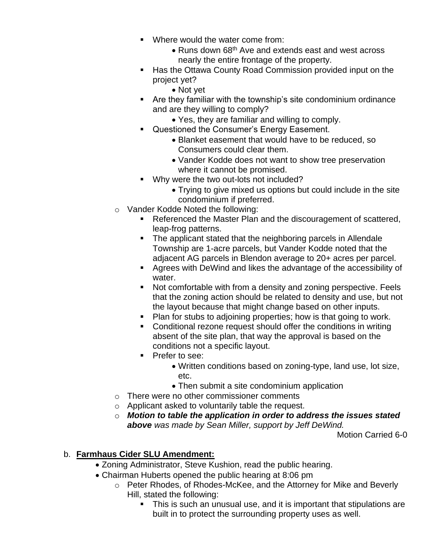- Where would the water come from:
	- Runs down 68<sup>th</sup> Ave and extends east and west across nearly the entire frontage of the property.
- Has the Ottawa County Road Commission provided input on the project yet?
	- Not yet
- Are they familiar with the township's site condominium ordinance and are they willing to comply?
	- Yes, they are familiar and willing to comply.
- Questioned the Consumer's Energy Easement.
	- Blanket easement that would have to be reduced, so Consumers could clear them.
	- Vander Kodde does not want to show tree preservation where it cannot be promised.
- Why were the two out-lots not included?
	- Trying to give mixed us options but could include in the site condominium if preferred.
- o Vander Kodde Noted the following:
	- Referenced the Master Plan and the discouragement of scattered, leap-frog patterns.
	- The applicant stated that the neighboring parcels in Allendale Township are 1-acre parcels, but Vander Kodde noted that the adjacent AG parcels in Blendon average to 20+ acres per parcel.
	- Agrees with DeWind and likes the advantage of the accessibility of water.
	- Not comfortable with from a density and zoning perspective. Feels that the zoning action should be related to density and use, but not the layout because that might change based on other inputs.
	- Plan for stubs to adjoining properties; how is that going to work.
	- Conditional rezone request should offer the conditions in writing absent of the site plan, that way the approval is based on the conditions not a specific layout.
	- Prefer to see:
		- Written conditions based on zoning-type, land use, lot size, etc.
		- Then submit a site condominium application
- o There were no other commissioner comments
- o Applicant asked to voluntarily table the request.
- o *Motion to table the application in order to address the issues stated above was made by Sean Miller, support by Jeff DeWind.*

Motion Carried 6-0

# b. **Farmhaus Cider SLU Amendment:**

- Zoning Administrator, Steve Kushion, read the public hearing.
- Chairman Huberts opened the public hearing at 8:06 pm
	- o Peter Rhodes, of Rhodes-McKee, and the Attorney for Mike and Beverly Hill, stated the following:
		- This is such an unusual use, and it is important that stipulations are built in to protect the surrounding property uses as well.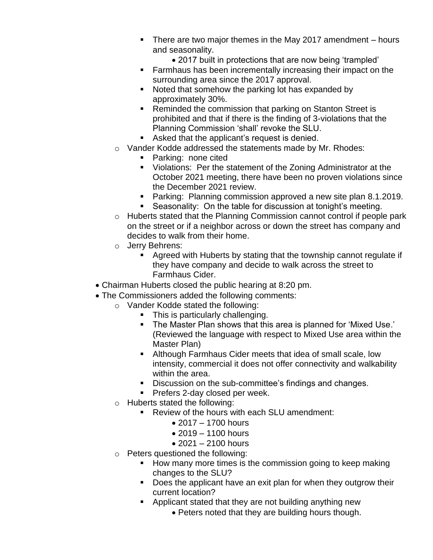- There are two major themes in the May 2017 amendment hours and seasonality.
	- 2017 built in protections that are now being 'trampled'
- Farmhaus has been incrementally increasing their impact on the surrounding area since the 2017 approval.
- Noted that somehow the parking lot has expanded by approximately 30%.
- Reminded the commission that parking on Stanton Street is prohibited and that if there is the finding of 3-violations that the Planning Commission 'shall' revoke the SLU.
- Asked that the applicant's request is denied.
- o Vander Kodde addressed the statements made by Mr. Rhodes:
	- Parking: none cited
	- Violations: Per the statement of the Zoning Administrator at the October 2021 meeting, there have been no proven violations since the December 2021 review.
	- Parking: Planning commission approved a new site plan 8.1.2019.
	- Seasonality: On the table for discussion at tonight's meeting.
- o Huberts stated that the Planning Commission cannot control if people park on the street or if a neighbor across or down the street has company and decides to walk from their home.
- o Jerry Behrens:
	- Agreed with Huberts by stating that the township cannot regulate if they have company and decide to walk across the street to Farmhaus Cider.
- Chairman Huberts closed the public hearing at 8:20 pm.
- The Commissioners added the following comments:
	- o Vander Kodde stated the following:
		- **•** This is particularly challenging.
		- The Master Plan shows that this area is planned for 'Mixed Use.' (Reviewed the language with respect to Mixed Use area within the Master Plan)
		- Although Farmhaus Cider meets that idea of small scale, low intensity, commercial it does not offer connectivity and walkability within the area.
		- Discussion on the sub-committee's findings and changes.
		- **Prefers 2-day closed per week.**
	- o Huberts stated the following:
		- Review of the hours with each SLU amendment:
			- 2017 1700 hours
			- $2019 1100$  hours
			- 2021 2100 hours
	- o Peters questioned the following:
		- How many more times is the commission going to keep making changes to the SLU?
		- Does the applicant have an exit plan for when they outgrow their current location?
		- Applicant stated that they are not building anything new
			- Peters noted that they are building hours though.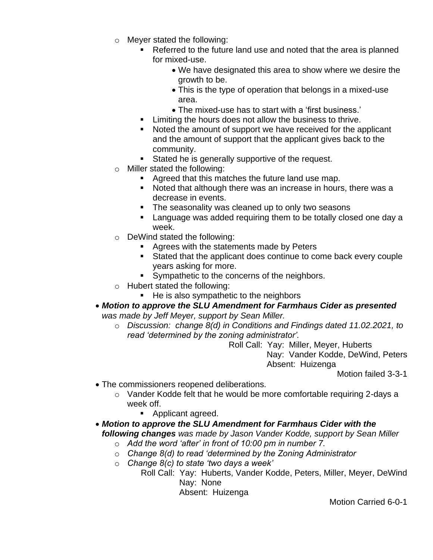- o Meyer stated the following:
	- Referred to the future land use and noted that the area is planned for mixed-use.
		- We have designated this area to show where we desire the growth to be.
		- This is the type of operation that belongs in a mixed-use area.
		- The mixed-use has to start with a 'first business.'
	- Limiting the hours does not allow the business to thrive.
	- Noted the amount of support we have received for the applicant and the amount of support that the applicant gives back to the community.
	- Stated he is generally supportive of the request.
- o Miller stated the following:
	- Agreed that this matches the future land use map.
	- Noted that although there was an increase in hours, there was a decrease in events.
	- The seasonality was cleaned up to only two seasons
	- Language was added requiring them to be totally closed one day a week.
- o DeWind stated the following:
	- Agrees with the statements made by Peters
	- Stated that the applicant does continue to come back every couple years asking for more.
	- Sympathetic to the concerns of the neighbors.
- o Hubert stated the following:
	- He is also sympathetic to the neighbors
- *Motion to approve the SLU Amendment for Farmhaus Cider as presented was made by Jeff Meyer, support by Sean Miller.*
	- o *Discussion: change 8(d) in Conditions and Findings dated 11.02.2021, to read 'determined by the zoning administrator'.*

 Roll Call: Yay: Miller, Meyer, Huberts Nay: Vander Kodde, DeWind, Peters Absent: Huizenga

Motion failed 3-3-1

- The commissioners reopened deliberations.
	- o Vander Kodde felt that he would be more comfortable requiring 2-days a week off.
		- Applicant agreed.
- *Motion to approve the SLU Amendment for Farmhaus Cider with the following changes was made by Jason Vander Kodde, support by Sean Miller*
	- o *Add the word 'after' in front of 10:00 pm in number 7.*
	- o *Change 8(d) to read 'determined by the Zoning Administrator*
	- o *Change 8(c) to state 'two days a week'*
		- Roll Call: Yay: Huberts, Vander Kodde, Peters, Miller, Meyer, DeWind Nay: None

Absent: Huizenga

Motion Carried 6-0-1